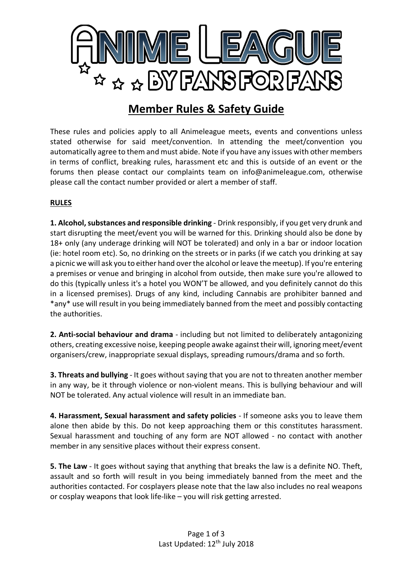

## **Member Rules & Safety Guide**

These rules and policies apply to all Animeleague meets, events and conventions unless stated otherwise for said meet/convention. In attending the meet/convention you automatically agree to them and must abide. Note if you have any issues with other members in terms of conflict, breaking rules, harassment etc and this is outside of an event or the forums then please contact our complaints team on info@animeleague.com, otherwise please call the contact number provided or alert a member of staff.

## **RULES**

**1. Alcohol, substances and responsible drinking** - Drink responsibly, if you get very drunk and start disrupting the meet/event you will be warned for this. Drinking should also be done by 18+ only (any underage drinking will NOT be tolerated) and only in a bar or indoor location (ie: hotel room etc). So, no drinking on the streets or in parks (if we catch you drinking at say a picnic we will ask you to either hand over the alcohol or leave the meetup). If you're entering a premises or venue and bringing in alcohol from outside, then make sure you're allowed to do this (typically unless it's a hotel you WON'T be allowed, and you definitely cannot do this in a licensed premises). Drugs of any kind, including Cannabis are prohibiter banned and \*any\* use will result in you being immediately banned from the meet and possibly contacting the authorities.

**2. Anti-social behaviour and drama** - including but not limited to deliberately antagonizing others, creating excessive noise, keeping people awake against their will, ignoring meet/event organisers/crew, inappropriate sexual displays, spreading rumours/drama and so forth.

**3. Threats and bullying** - It goes without saying that you are not to threaten another member in any way, be it through violence or non-violent means. This is bullying behaviour and will NOT be tolerated. Any actual violence will result in an immediate ban.

**4. Harassment, Sexual harassment and safety policies** - If someone asks you to leave them alone then abide by this. Do not keep approaching them or this constitutes harassment. Sexual harassment and touching of any form are NOT allowed - no contact with another member in any sensitive places without their express consent.

**5. The Law** - It goes without saying that anything that breaks the law is a definite NO. Theft, assault and so forth will result in you being immediately banned from the meet and the authorities contacted. For cosplayers please note that the law also includes no real weapons or cosplay weapons that look life-like – you will risk getting arrested.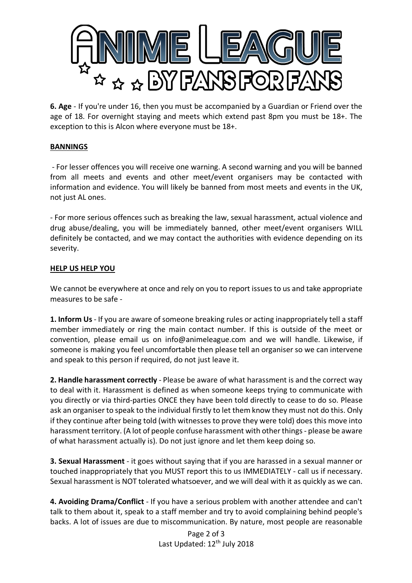

**6. Age** - If you're under 16, then you must be accompanied by a Guardian or Friend over the age of 18. For overnight staying and meets which extend past 8pm you must be 18+. The exception to this is Alcon where everyone must be 18+.

## **BANNINGS**

- For lesser offences you will receive one warning. A second warning and you will be banned from all meets and events and other meet/event organisers may be contacted with information and evidence. You will likely be banned from most meets and events in the UK, not just AL ones.

- For more serious offences such as breaking the law, sexual harassment, actual violence and drug abuse/dealing, you will be immediately banned, other meet/event organisers WILL definitely be contacted, and we may contact the authorities with evidence depending on its severity.

## **HELP US HELP YOU**

We cannot be everywhere at once and rely on you to report issues to us and take appropriate measures to be safe -

**1. Inform Us** - If you are aware of someone breaking rules or acting inappropriately tell a staff member immediately or ring the main contact number. If this is outside of the meet or convention, please email us on info@animeleague.com and we will handle. Likewise, if someone is making you feel uncomfortable then please tell an organiser so we can intervene and speak to this person if required, do not just leave it.

**2. Handle harassment correctly** - Please be aware of what harassment is and the correct way to deal with it. Harassment is defined as when someone keeps trying to communicate with you directly or via third-parties ONCE they have been told directly to cease to do so. Please ask an organiser to speak to the individual firstly to let them know they must not do this. Only if they continue after being told (with witnesses to prove they were told) does this move into harassment territory. (A lot of people confuse harassment with other things - please be aware of what harassment actually is). Do not just ignore and let them keep doing so.

**3. Sexual Harassment** - it goes without saying that if you are harassed in a sexual manner or touched inappropriately that you MUST report this to us IMMEDIATELY - call us if necessary. Sexual harassment is NOT tolerated whatsoever, and we will deal with it as quickly as we can.

**4. Avoiding Drama/Conflict** - If you have a serious problem with another attendee and can't talk to them about it, speak to a staff member and try to avoid complaining behind people's backs. A lot of issues are due to miscommunication. By nature, most people are reasonable

> Page 2 of 3 Last Updated: 12<sup>th</sup> July 2018